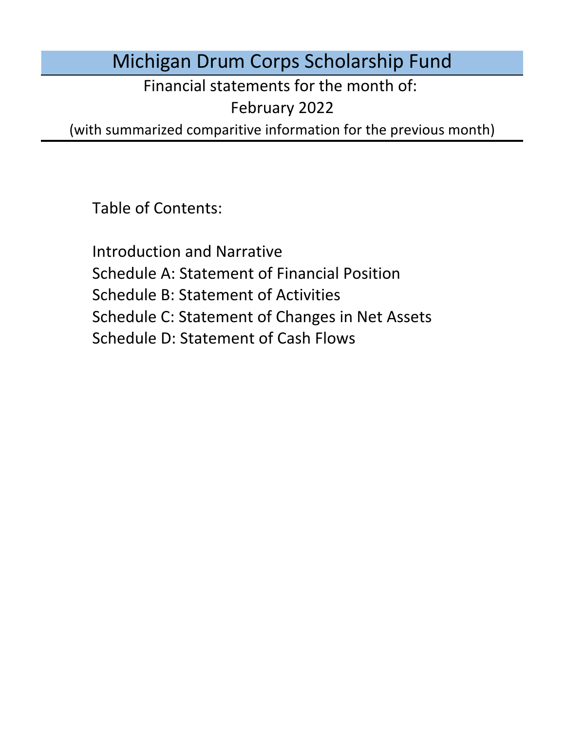# Michigan Drum Corps Scholarship Fund

Financial statements for the month of:

February 2022

(with summarized comparitive information for the previous month)

Table of Contents:

Schedule D: Statement of Cash Flows Introduction and Narrative Schedule A: Statement of Financial Position Schedule B: Statement of Activities Schedule C: Statement of Changes in Net Assets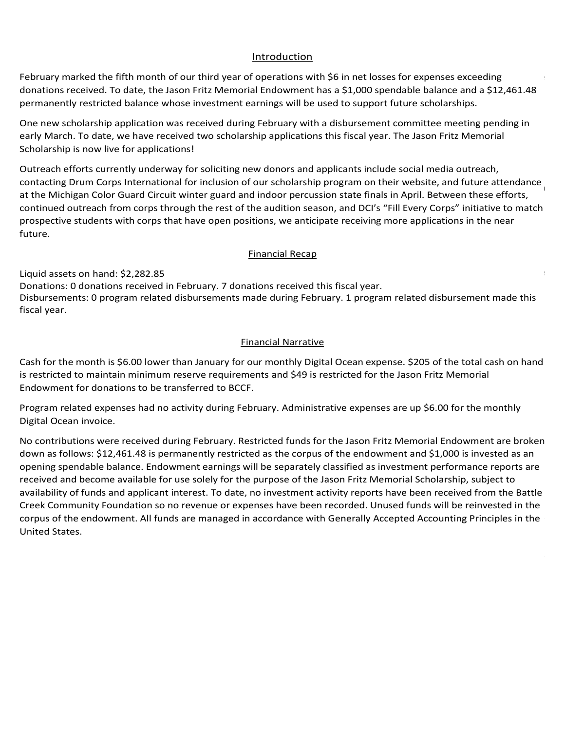### Introduction Introduction Introduction Introduction

Introduction<br>February marked the fifth month of our third year of operations with \$6 in net losses for expenses exceeding <u>Introduction</u><br>February marked the fifth month of our third year of operations with \$6 in net losses for expenses exceeding<br>donations received. To date, the Jason Fritz Memorial Endowment has a \$1,000 spendable balance and permanently restricted balance whose investment earnings will be used to support future scholarships.

One new scholarship application was received during February with a disbursement committee meeting pending in early March. To date, we have received two scholarship applications this fiscal year. The Jason Fritz Memorial<br>Scholarship is now live for applications! Scholarship is now live for applications!  $S$ Criotarship is now live for applications: Performance are the outstanding stations the outstanding scholarship for Emily Neher. put in a now live for applications:  $\frac{1}{2}$ One hew scholarship application was received during redruary with a disbursement committee ineeting pending in<br>Contact The data was been received two selectionship contientions this fixed wear. The been Filte Memorial the 2020 season and the scholarship fund the scholarship fund to the scholarship for the 2020 season.<br>Collection for the 2021 season. The 2021 season. The 2021 season. The 2021 season. The 2021 season. The 2021 s One hew scholarship application was received during redruary with a disbursement committee meeting pending in<br>Contact The state was been received two scholarship continues this fixed were The Jeese Filte Memorial One hew scholarship application was received during rebruary with a disbursement committee meeting pending in<br>early March. To date, we have received two scholarship applications this fiscal year. The Jason Fritz Memorial fully ividicit. To udte, we have received two scholarship applications this hscar year. The Jason Fritz Memoria<br>Coloradors with a mask except for the mask except for a mask except for the mask except for the substitution o capacity in the second state and produced to 50% capacity in the raise of the raison social gathering will be regulated by regulated by regulated by regulations with a construction of the regulated by regulated by regulate early ividicit. To date, we have received two scholarship applications this hscar year. The Jason Fritz Memorial<br>Collow the protections for the protective measures in a protection of the protective measures in the protecti One hew scholarship application was received during rebruary with a disbursement committee meeting per early March. To date, we have received two scholarship applications this fiscal year. The Jason Fritz Memorial<br>Sale also the change in the change of the change in the change of the change in the change of the change of th permanently restricted balance whose investment earnings will be used to support future scholarships.<br>One new scholarship application was received during February with a disbursement committee meeting pending in<br>early Marc

Qutroach offerts surrently underwy Outreach efforts currently underway for soliciting new donors and applicants include social media outreach,<br>contacting Drum Corps International for inclusion of our scholarship program on their website, and future attendan at the Michigan Color Guard Circuit winter guard and indoor percussion state finals in April. Between these efforts, prospective students with corps that have open positions, we anticipate receiving more applications in the near<br>future. January marked the fifth month of operations for the fund under its declared fiscal year. Cash for the early ividicit. To date, we have received two scholarship applications this fiscal year. The Jason Fritz ivienforial<br>Scholarship is now live for applications!<br>Outreach efforts currently underway for soliciting new donors a at the Michigan Color Guard Circuit winter guard and indoor percussion state finals in April. Between these efforts,<br>continued outreach from corps through the rest of the audition season, and DCI's "Fill Every Corps" initi case basis and will be in contact with the board as more specific information in the board as more specific in ite, the Jason Fritz Memorial Endowment has a \$1,000 spendable balance and a \$12,461.48<br>alance whose investment earnings will be used to support future scholarships.<br>lication was received during February with a disbursemen our third year of operations with \$6 in net looses for expenses exceeding<br>our third wenter operations with S a 51,000 spendable balance and a \$12,461.4:<br>First Memorial Endowment has a \$1,000 spendable balance and a \$12,461  $\mathsf{future}$  . The board have been actively working towards website improvements, branding towards website improvements, branding towards website improvements, branding towards website improvements, branding towards website i on the 2021 season. Until a vaccine is developed, he believes all audition and rehearsal camps will be all audition and rehearsal camps will be all audition and rehearsal camps will be all audition and rehearsal camps will the 2021 season. Until a vaccine is developed, he believes all audition and rehearsal camps will be all audition and rehearsal camps will be all audition and rehearsal camps will be all audition and rehearsal camps will be property leases, vehicle loans, and other operations, and other operations, and they have raised in the sponsored students have shared students have shared students have shared students have shared they are at risk of a  $1$ Outreach efforts currently underway for soliciting new donors and applicants include social media outreach,<br>contactive Rume Game International factor lucion of sumprisonal applicants include social media outletens chan limited opportunities based on location may actually receive more feedback from a wider variety of instructors. continued out each nom corps through the rest or the addition season, and bers  $\tau$  in every corps initiative to ma Tracting Drum Corps International for inclusion of our scholarship program on their website, and future attendance<br>he Michigan Color Guard Circuit winter guard and indoor percussion state finals in April. Between these eff Outreach enorts currently underway for soliciting new donors and applicants include social media outreach,<br>contextive Denis Come International for including of engagle leading appearance of the incurrents. and future atten continued outreach from corps through the rest of the audition season, and DCI's "Fill Every Corps" initiative to match  $\mathsf{future} = \mathsf{future}$  $\frac{1}{2}$  contacting bruin Corps international for inclusion or our scholarship pr virtual drum major and leadership clinics as well as a new Expert Lesson Series designed for beginning for beginning  $\alpha$ put each end is currently underway for soliciting new donor at the Michigan Color Guard Circuit winter guard and indoor percussion state finals in April. Between these efforts,<br>continued outreach from corps through the rest of the audition season, and DCI's "Fill Every Corps" initi contacting Drum Corps International for inclusion of our scholarship program on their website, and future attendance family after shows.  $s$  funds received one new application during March but disputed no funds for students during the students during the students during the students during the students during the students during the students during the stu at the bolumean color guard circuit willter guard and muour percussion state mials in April. Between these enors,<br>continued outliers the creation of the will be east of the sudition occupied DCVs (Cill ExempCome/) initiati tonthrough through the Michigan Drum Corps Scholarship Fund plans to use the Michigan Scholarship and the mich<br>The constitute students with school that have apply applicate we entitled to use this mappe conflictions in the  $\frac{d}{dt}$  and investment management management of an endowment for  $\frac{d}{dt}$ at the iviluitigan color Guard circuit wiffer guard and muodi percussion state mials in Appli. Between these end ts,<br>continued outliership application as a base and the exist of the sudition as associated BOK. (Cill Exemp continued out each nom corps through the rest of the addition season, and bers in mevery corps initiative to match<br>we expective students with some that have expected in the additions (like the management conditations in t future. Scholarship Fundamental Correct Fundamental plans and music percussion state mials in April. Detween these enon<br>Académie de cities els formes availables in the forts of the scultive cases as and DOVs (Cill Fundraising Camp  $P$ ar disputed for  $\mathcal{P}$  and  $\mathcal{P}$  and  $\mathcal{P}$  and  $\mathcal{P}$  are  $\mathcal{P}$  and  $\mathcal{P}$  are  $\mathcal{P}$  and  $\mathcal{P}$  are  $\mathcal{P}$  and  $\mathcal{P}$  are  $\mathcal{P}$  and  $\mathcal{P}$  are  $\mathcal{P}$  and  $\mathcal{P}$  are  $\mathcal{P}$  and  $\mathcal{P}$ Unit each entity Came International for Southing Hew donors and applicants include social media outreach,<br>contextive Davis Community on the motional for including of sourceled white was accessed the incode its conditions o contacting bruni corps international for inclusion or our scholarship program on their website, and ruture atl<br>The end of the end of the end of the endowment and have and have and have and have and have and have and have continued outreach from corps through the rest of the audition season, and DCI's "Fill Every Corps" initiative to match<br>we see attice students with some that have again positions we entitled to get its parameter and in the Outreach efforts currently underway for soliciting fiew donors and applicants include social fileura outreach,<br>The Society of the Society of the Society for the the theory of the threshold, we now also the theory of the t  $2020$  and this year's sponsored studients, we had a total of four students matching with the corps three corps three corps three corps three corps three corps three corps three corps three corps three corps three corps t future.

### month is 2009. Financial recap. \$205 of the total cash on hand is currently restricted to maintain restricted to maintain  $\mathcal{L}$  $\frac{745}{200}$  restricted than  $\frac{1}{200}$  of the total cash on  $\frac{1}{200}$  restricted to maintain  $\frac{1}{200}$  restricted to maintain  $\frac{1}{200}$  restricted to maintain  $\frac{1}{200}$  restricted to maintain  $\frac{1}{200}$  restric e Solomonto as decisions as decisions are made. The provided as decisions are made. The provided as decisions are made. The provided as decisions are made. The provided as decisions are made. The provided as  $\epsilon$  $$ 35 of Division 1 *Division 1 Class corps, officially kicked off on June 30th with show selections* based on fancy conducted virtually, housing sites will be more difficult to find, and an increased emphasis on hygiene and  $\frac{m_{\text{union}}}{2}$ more difficult to find, and an increased emphasis on hygiene and substantial process improvements for each ensemble. Potential to the ensemble of ensemble. Potential to the ensemble On November 9th, Pfizer and Biontech announced a vaccine candidate to prevent COVID-19 that was found to be  $\frac{1}{2}$ mancial. Necap August 12 mittee meetings, research, and discussions are only and discussions are only annual meeting for the annual meeting for the annual meeting for the annual meeting for the annual meeting for the annual meeting for t instruction sessions. River City Rhythm continues to host their RCR Winter Experience and Distant Harmonies programs for virtual instruction and performance opportunities. Legends has not announced a virtual learning has not announced a virtual learning materials in the second and performance of announced a virtual learning mate  $T_{\text{inert}}$  announced Theorem for video auditions, monthly classes, and private auditions, monthly classes, and private  $T_{\text{inert}}$ <u>international security</u> Rhythm continues to host the international Recruit Recruit Recruit Harmonies and Distance and Distance and Distance and Distance and Distance and Distance and Distance and Distance and Distance and  $\mathbf{F}_{\text{in}}$  and the 2020 season in contact with all sponsored students from the 2020 season as we prepare for the 2020 season as we prepare for the 2020 season as we prepare for the 2020 season as we prepare for the 202 2021 season and has confirmed that Abbey Trach is participated with River City Rhythm and Jaden McCallum will be a season of the River City Rhythm and Jaden McCallum will be a season of the River City Rhythm and Jaden McCa  $T$ manciar $\vec{R}$  received no new applications during May but paid  $\vec{S}$ and approved one new application for Echo Bennett during June. We use during  $\frac{1}{2}$ une. We used the  $\frac{400}{2}$  $2020$  and this year's sponsored students, we have a total of four students marching with the corps three corps that summer: Jaden McCallum and Echo Bennett with Phantom Regiment, Abbey Trach with River City Rhythm, and Kaitlyn Colyer Jaden McCallum and Echo Bennett with Phantom Regiment, Abbey Trach with River City Rhythm, and Kaitlyn Colyer with the Madison Scouts. The Madison Scouts. The Madison Scouts. They participate they participated in the Wales of the Wales of the Wales of the Wales of the Wales of the Wales of the Wales of the Wales of the Wales of th

Liquid assets on hand: \$2,282.85 and the state of the state of the state of the state of the state of the state of the state of the state of the state of the state of the state of the state of the state of the state of the

Donations: 0 donations received in February. 7 donations received this fiscal year.<br>Disbursements: 0 program related disbursements made during February. 1 program related disbursement made this<br>fiscal year.  $\mathsf{f}$ iscal year. Program invoice charged to the business checking account. Program expected to the business are expected to the business are expected to the business are expected to the business are expected to the bus  $\epsilon$  fiscal year. The monthly Digital Ocean involves charged to the business charged to the business checking account. Donations: 0 donations received in February. 7 donations received this fiscal year.<br>Disbursements: 0 program related disbursements made during February. 1 program related disbursement made thi<br>fiscal year.<br>Einancial Narrat  $L_{\text{S}}$  assets on  $\mathcal{L}_{\text{S}}$  $D<sub>2</sub>$  donations received during  $D<sub>2</sub>$  during  $D<sub>3</sub>$  during  $D<sub>4</sub>$  during  $D<sub>5</sub>$  during  $D<sub>6</sub>$ following the annual meeting of voting drum corps directors in January 2021. The board will continue to monitor the  $\bf{f}$ iscal year. The board continues to monitor the marching arts and will provide updates to all interested updates to all interested updates to all interested updates to all interested updates to all interested update fiscal year. Cavaliers, Colts, Madison Scouts, and Phantom Regiment in their respective home regions. All of our sponsored  $\rho$  fiscal year. We will be participating with  $\rho$  and  $\rho$  and  $\rho$  with Phantom Regiment. We will be participating with Phantom Regiment. We will be participate with Phantom Regiment  $\rho$  and  $\rho$  and  $\rho$  and  $\rho$  an  ${\bf fixed}$  year. Crossmen has not refund requests to  ${\bf C}$  $\Gamma$  madison  $\Gamma$  with the Madison Scouts. Note that  $C$  refund requests to  $\Gamma$  refund requests to  $\Gamma$ Financial Recapation Recapation Company of the company of the company of the company of the company of the company of the company of the company of the company of the company of the company of the company of the company of

### Financial Narrative  $E$ inancial Narrativo **Financial Narrative** Financial Recap Disbursements: 0 program related disbursements during December. 0 program related disbursements made this fiscal 0 disbursements July. 2 program related disbursements have been made this Disbursements: 0 program related disbursements during August. 2 program related disbursements have been made this financial warractive

Cash for the month is \$6.00 lower than January for our monthly Digital Ocean expense. \$205 of the total cash on hand is restricted to maintain minimum reserve requirements and \$49 is restricted for the Jason Fritz Memorial With the cancellation of the 2020 season, program experience are expenses are expected to either remain at the year-to-Endowment for donations to be transferred to BCCF. Financial Narrative **Financial Narrative**<br>536.00 lower than January for our monthly Digita<br>549 is reprise to be transferred to BCCF. is restricted to maintain minimum reserve requirements and \$49 is restricted for the Jason Fritz Memorial<br>Endowment for donations to be transferred to BCCF.<br>-Disbursements: 0 program related disbursements during October. 0 program related disbursements made this fiscal Donations: 4 PayPal donations transferred in November.  $\mathbf{F}$ . Financial Narrative

Program related expenses had no activity during February. Administrative expenses are up \$6.00 for the monthly the 2021 season. Administrative expenses are up the monthly Digital Ocean invoice charged to the monthly Digital Ocean invoice charged to the monthly Digital Ocean invoice charged to the monthly Digital Ocean invoice charg Program related expenses had no activity during February. Administrative expenses are up 50.00 for the monthl<br>Digital Ossen invoice month is 18.000 lower than June 2005 of the total cash on the total cash on hand is currently restricted to maintain  $\frac{1}{2}$  $\mathbf{C}$ September – August though the bylaws stated that the organization's declared fiscal year runs from Program related expenses had no activity during February. Administrative expenses are up \$6.00 for the monthly<br>Disitel Osean invaise lower than November. 205 of the total cash on hand is currently reserved to maintain minimum reserved to main Discusse in lated curences had no estimity during February. Administrative curences are un CC 00 for the memble Digital Ocean invoice. The contract of the contract of the contract of the contract of the contract of the contract of the contract of the contract of the contract of the contract of the contract of the contract of the con Program related expenses had no activity during February. Administrative expenses are up \$6.00 for the monthly<br>Digital Ocean invoice.<br>No contributions were received during February. Restricted funds for the Jason Fritz Mem Program related expenses had no activity during February. Administrative expenses are up \$6.00 for the monthly<br>Bit is done for the confirmation for final confirmation for final confirmation from from from from from from f the Madison Scouts for the Madison Scouts for the Madison Scouts for the Madison of the Madison has been rolled forward into the Madison has been rolled for ward into the Madison has been rolled for ward into the Madison o by the corps in June. Prepaid adjustments were made during May for Jaden's and Abbey's sponsorships to recognize Program related expenses had no activity during February. Administrative expenses are up \$6.00 for the monthly<br>- $\overline{\phantom{a}}$  Digital Ocean Invoice.

No contributions were received during February. Restricted funds for the Jason Fritz Memorial Endowment are brok down as follows: \$12,461,48 is nermanently restricted as the cornus of the endowment and \$1,000 is invested as an opening spendable balance. Endowment earnings will be separately classified as investment performance reports are received and become available for use solely for the purpose of the Jason Fritz Memorial Scholarship, subject to<br>availability of funds and surficent interest. To data as investment activity are not have been reseived from availability of funds and applicant interest. To date, no investment activity reports have been received from the Battle<br>Creak Community Foundation so no revenue or evenings have been recepted. Unused funds will be reinves Creek Community redinguiton so no revenue or expenses have been recorded. Onased rangs will be reinvested in th<br>Corpus of the endowment. All funds are managed in accordance with Generally Accorded Accounting Principles in creak community Foundation so no revenue or expenses have been recorded. Onased rands will be reinvested in the<br>corpus of the endowment. All funds are managed in accordance with Generally Accepted Accounting Principles in Creek Community Foundation so no revenue or expenses have been recorded. Unused funds will be reinvested in the<br>commo of the endowment, All funds are monoged in accordance with Concretty Assembly Assembly Principles in the filing fee, and Paypal fees. Accepted Accounting Principles in the United States. United States. $\frac{1}{2}$  as follows. The first month of operations for the fund in our second first month in  $\frac{1}{2}$  and  $\frac{1}{2}$ opering spendable balance. Endowment earlings will be separately classified as investment performance reports a<br>Interioral and handware available for use only for the number of the lange Filte Managital Cabalanchine subjec oorpas of the enabwment. All ranas are managed in accordance with defierally Accepted Accounting Frinc<br>Heitod States United States. down as follows: \$12,461.48 is permanently restricted as the corpus of the endowment and \$1,000 is invested as opening spend corpus of the endowment. All funds are managed in accordance with Generally Accepted Accounting Principles in the United States. The General ly Accepted Accounting Principles in the United Accepted Accounting Principles in the United States. down as follows: \$12,461.48 is permanently restricted as the corpus of the endowment and \$1,000 is invested as an opening spendable balance. Endowment earnings will be separately classified as investment performance reports<br>species and has experienced in former solds for the summer sold the lease Fritz Manuscial Scholarship subject to No funds are currently restricted by outside donors. All restrictions made by the Board are included under under under under the Board are included under the Board are included under the Board are included under under the opening spendable balance. Endowment earnings will be separately classified as investment performance reports a Program relations did not change during March. Administrative expenses are up \$6.00 for the monthly Digital March. Administrative expenses are up \$6.00 for the monthly Digital March. Administrative expenses are up \$6.00 fo Creek Community Foundation so no revenue or expenses have been recorded. Unused funds will be reinvested in the Program relations did not change during April. Administrative expenses are up \$6.000 for the monthly Digital Digital Digital Digital Digital Digital Digital Digital Digital Digital Digital Digital Digital Digital Digital D availability of funds and applicant interest. To date, no investment activity reports have been received from the Battle rehunary marked the first month of our third year of operations with S6 in deplotes for expendents excelling<br>permanently restricted balance whose multiple states and corps season of the drum corps season with a significanc United States.<br>United States. down as follows: \$12,461.48 is permanently restricted as the corpus of the endowment and \$1,000 is invested as an opening spendable balance. Endowment earnings will be separately classified as investment performance reports are and applicant interest. United States. Will be reinvested in the corpus of the endowment. All funds are managed in the endowment. All funds are managed in the endowment. All funds are managed in the endowment. All funds ar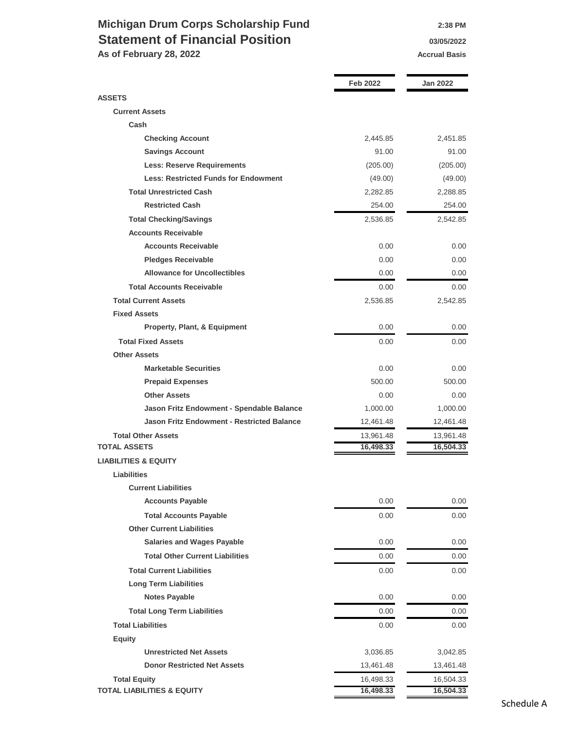### **Michigan Drum Corps Scholarship Fund 2:38 PM Statement of Financial Position 1976 1976 03/05/2022**

As of February 28, 2022 **Accrual Basis Accrual Basis Accrual Basis** 

|                                                   | Feb 2022  | <b>Jan 2022</b> |
|---------------------------------------------------|-----------|-----------------|
| <b>ASSETS</b>                                     |           |                 |
| <b>Current Assets</b>                             |           |                 |
| Cash                                              |           |                 |
| <b>Checking Account</b>                           | 2,445.85  | 2,451.85        |
| <b>Savings Account</b>                            | 91.00     | 91.00           |
| <b>Less: Reserve Requirements</b>                 | (205.00)  | (205.00)        |
| <b>Less: Restricted Funds for Endowment</b>       | (49.00)   | (49.00)         |
| <b>Total Unrestricted Cash</b>                    | 2,282.85  | 2,288.85        |
| <b>Restricted Cash</b>                            | 254.00    | 254.00          |
| <b>Total Checking/Savings</b>                     | 2,536.85  | 2,542.85        |
| <b>Accounts Receivable</b>                        |           |                 |
| <b>Accounts Receivable</b>                        | 0.00      | 0.00            |
| <b>Pledges Receivable</b>                         | 0.00      | 0.00            |
| <b>Allowance for Uncollectibles</b>               | 0.00      | 0.00            |
| <b>Total Accounts Receivable</b>                  | 0.00      | 0.00            |
| <b>Total Current Assets</b>                       | 2,536.85  | 2,542.85        |
| <b>Fixed Assets</b>                               |           |                 |
| <b>Property, Plant, &amp; Equipment</b>           | 0.00      | 0.00            |
| <b>Total Fixed Assets</b>                         | 0.00      | 0.00            |
| <b>Other Assets</b>                               |           |                 |
| <b>Marketable Securities</b>                      | 0.00      | 0.00            |
| <b>Prepaid Expenses</b>                           | 500.00    | 500.00          |
| <b>Other Assets</b>                               | 0.00      | 0.00            |
| Jason Fritz Endowment - Spendable Balance         | 1,000.00  | 1,000.00        |
| <b>Jason Fritz Endowment - Restricted Balance</b> | 12,461.48 | 12,461.48       |
| <b>Total Other Assets</b>                         | 13,961.48 | 13,961.48       |
| <b>TOTAL ASSETS</b>                               | 16,498.33 | 16,504.33       |
| <b>LIABILITIES &amp; EQUITY</b>                   |           |                 |
| <b>Liabilities</b>                                |           |                 |
| <b>Current Liabilities</b>                        |           |                 |
| <b>Accounts Payable</b>                           | 0.00      | 0.00            |
| <b>Total Accounts Payable</b>                     | 0.00      | 0.00            |
| <b>Other Current Liabilities</b>                  |           |                 |
| <b>Salaries and Wages Payable</b>                 | 0.00      | 0.00            |
| <b>Total Other Current Liabilities</b>            | 0.00      | 0.00            |
| <b>Total Current Liabilities</b>                  | 0.00      | 0.00            |
| <b>Long Term Liabilities</b>                      |           |                 |
| <b>Notes Payable</b>                              | 0.00      | 0.00            |
| <b>Total Long Term Liabilities</b>                | $0.00\,$  | 0.00            |
| <b>Total Liabilities</b>                          | 0.00      | 0.00            |
| <b>Equity</b>                                     |           |                 |
| <b>Unrestricted Net Assets</b>                    | 3,036.85  | 3,042.85        |
| <b>Donor Restricted Net Assets</b>                | 13,461.48 | 13,461.48       |
| <b>Total Equity</b>                               | 16,498.33 | 16,504.33       |
| <b>TOTAL LIABILITIES &amp; EQUITY</b>             | 16,498.33 | 16,504.33       |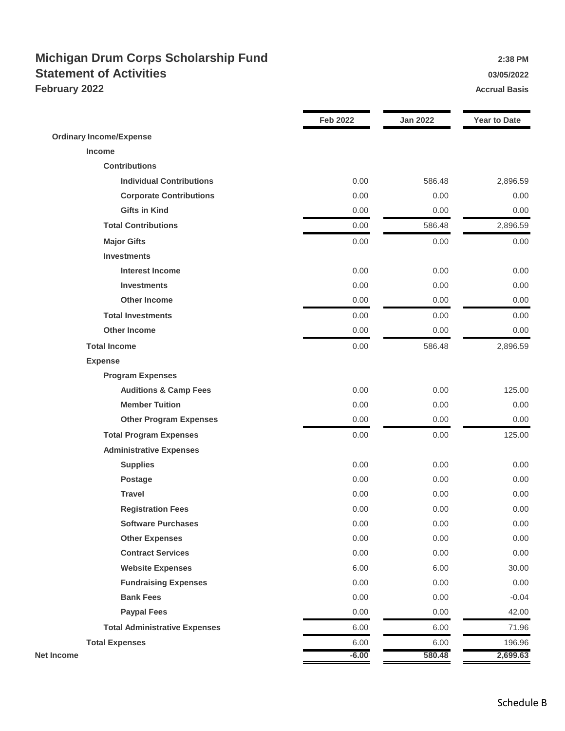### **Michigan Drum Corps Scholarship Fund 2:38 PM** 2:38 PM **Statement of Activities 13/05/2022 February 2022 Accrual Basis Accrual Basis Accrual Basis**

|                                      | <b>Feb 2022</b> | <b>Jan 2022</b> | <b>Year to Date</b> |
|--------------------------------------|-----------------|-----------------|---------------------|
| <b>Ordinary Income/Expense</b>       |                 |                 |                     |
| Income                               |                 |                 |                     |
| <b>Contributions</b>                 |                 |                 |                     |
| <b>Individual Contributions</b>      | 0.00            | 586.48          | 2,896.59            |
| <b>Corporate Contributions</b>       | 0.00            | 0.00            | 0.00                |
| <b>Gifts in Kind</b>                 | 0.00            | 0.00            | 0.00                |
| <b>Total Contributions</b>           | 0.00            | 586.48          | 2,896.59            |
| <b>Major Gifts</b>                   | 0.00            | 0.00            | 0.00                |
| <b>Investments</b>                   |                 |                 |                     |
| <b>Interest Income</b>               | 0.00            | 0.00            | 0.00                |
| <b>Investments</b>                   | 0.00            | 0.00            | 0.00                |
| <b>Other Income</b>                  | 0.00            | 0.00            | 0.00                |
| <b>Total Investments</b>             | 0.00            | 0.00            | 0.00                |
| <b>Other Income</b>                  | 0.00            | 0.00            | 0.00                |
| <b>Total Income</b>                  | 0.00            | 586.48          | 2,896.59            |
| <b>Expense</b>                       |                 |                 |                     |
| <b>Program Expenses</b>              |                 |                 |                     |
| <b>Auditions &amp; Camp Fees</b>     | 0.00            | 0.00            | 125.00              |
| <b>Member Tuition</b>                | 0.00            | 0.00            | 0.00                |
| <b>Other Program Expenses</b>        | 0.00            | 0.00            | 0.00                |
| <b>Total Program Expenses</b>        | 0.00            | 0.00            | 125.00              |
| <b>Administrative Expenses</b>       |                 |                 |                     |
| <b>Supplies</b>                      | 0.00            | 0.00            | 0.00                |
| <b>Postage</b>                       | 0.00            | 0.00            | 0.00                |
| <b>Travel</b>                        | 0.00            | 0.00            | 0.00                |
| <b>Registration Fees</b>             | 0.00            | 0.00            | 0.00                |
| <b>Software Purchases</b>            | 0.00            | 0.00            | 0.00                |
| <b>Other Expenses</b>                | 0.00            | 0.00            | 0.00                |
| <b>Contract Services</b>             | 0.00            | 0.00            | 0.00                |
| <b>Website Expenses</b>              | 6.00            | 6.00            | 30.00               |
| <b>Fundraising Expenses</b>          | 0.00            | 0.00            | 0.00                |
| <b>Bank Fees</b>                     | 0.00            | 0.00            | $-0.04$             |
| <b>Paypal Fees</b>                   | 0.00            | 0.00            | 42.00               |
| <b>Total Administrative Expenses</b> | 6.00            | 6.00            | 71.96               |
| <b>Total Expenses</b>                | 6.00            | 6.00            | 196.96              |
| <b>Net Income</b>                    | $-6.00$         | 580.48          | 2,699.63            |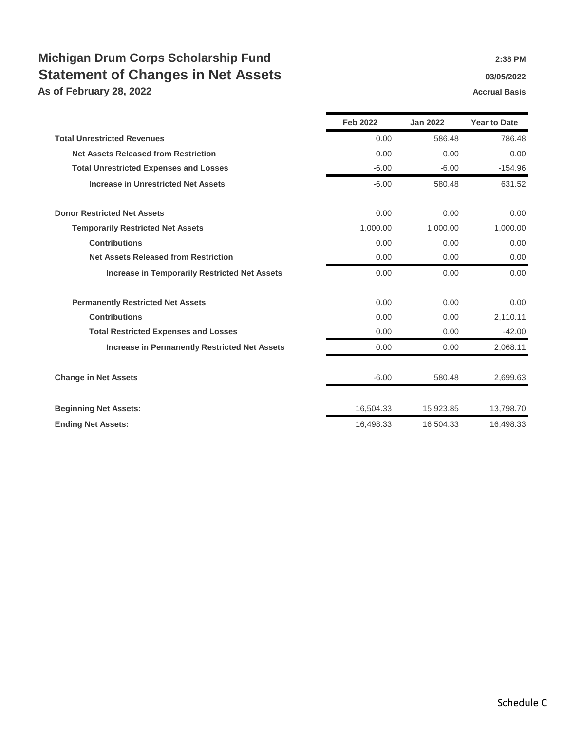## **Michigan Drum Corps Scholarship Fund 2:38 PM** 2:38 PM **Statement of Changes in Net Assets 1988 1989 1989 1989 1989 1989 1989 1989 1999 1999 1999 1999 1999 1999 1999 1999 1999 1999 1999 1999 1999 1999 1999 1999 1999 1999 19**

**As of February 28, 2022 Accrual Basis Accrual Basis Accrual Basis** 

|                                                      | <b>Feb 2022</b> | <b>Jan 2022</b> | <b>Year to Date</b> |
|------------------------------------------------------|-----------------|-----------------|---------------------|
| <b>Total Unrestricted Revenues</b>                   | 0.00            | 586.48          | 786.48              |
| <b>Net Assets Released from Restriction</b>          | 0.00            | 0.00            | 0.00                |
| <b>Total Unrestricted Expenses and Losses</b>        | $-6.00$         | $-6.00$         | $-154.96$           |
| <b>Increase in Unrestricted Net Assets</b>           | $-6.00$         | 580.48          | 631.52              |
| <b>Donor Restricted Net Assets</b>                   | 0.00            | 0.00            | 0.00                |
| <b>Temporarily Restricted Net Assets</b>             | 1,000.00        | 1,000.00        | 1,000.00            |
| <b>Contributions</b>                                 | 0.00            | 0.00            | 0.00                |
| <b>Net Assets Released from Restriction</b>          | 0.00            | 0.00            | 0.00                |
| <b>Increase in Temporarily Restricted Net Assets</b> | 0.00            | 0.00            | 0.00                |
| <b>Permanently Restricted Net Assets</b>             | 0.00            | 0.00            | 0.00                |
| <b>Contributions</b>                                 | 0.00            | 0.00            | 2,110.11            |
| <b>Total Restricted Expenses and Losses</b>          | 0.00            | 0.00            | $-42.00$            |
| <b>Increase in Permanently Restricted Net Assets</b> | 0.00            | 0.00            | 2,068.11            |
| <b>Change in Net Assets</b>                          | $-6.00$         | 580.48          | 2,699.63            |
| <b>Beginning Net Assets:</b>                         | 16,504.33       | 15,923.85       | 13,798.70           |
| <b>Ending Net Assets:</b>                            | 16,498.33       | 16,504.33       | 16,498.33           |